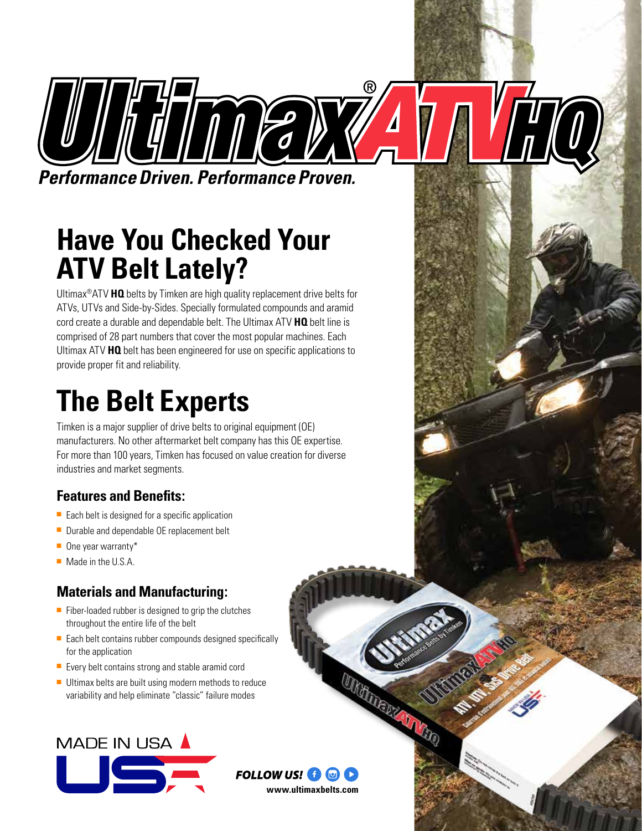

# **Have You Checked Your ATV Belt Lately?**

Ultimax®ATV **HQ** belts by Timken are high quality replacement drive belts for ATVs, UTVs and Side-by-Sides. Specially formulated compounds and aramid cord create a durable and dependable belt. The Ultimax ATV **HQ** belt line is comprised of 28 part numbers that cover the most popular machines. Each Ultimax ATV **HQ** belt has been engineered for use on specific applications to provide proper fit and reliability.

# **The Belt Experts**

Timken is a major supplier of drive belts to original equipment (OE) manufacturers. No other aftermarket belt company has this OE expertise. For more than 100 years, Timken has focused on value creation for diverse industries and market segments.

### **Features and Benefits:**

- Each belt is designed for a specific application
- Durable and dependable OE replacement belt
- One year warranty\*
- Made in the U.S.A.

### **Materials and Manufacturing:**

- Fiber-loaded rubber is designed to grip the clutches throughout the entire life of the belt
- Each belt contains rubber compounds designed specifically for the application
- Every belt contains strong and stable aramid cord
- Ultimax belts are built using modern methods to reduce variability and help eliminate "classic" failure modes





UTHELIGEN IN